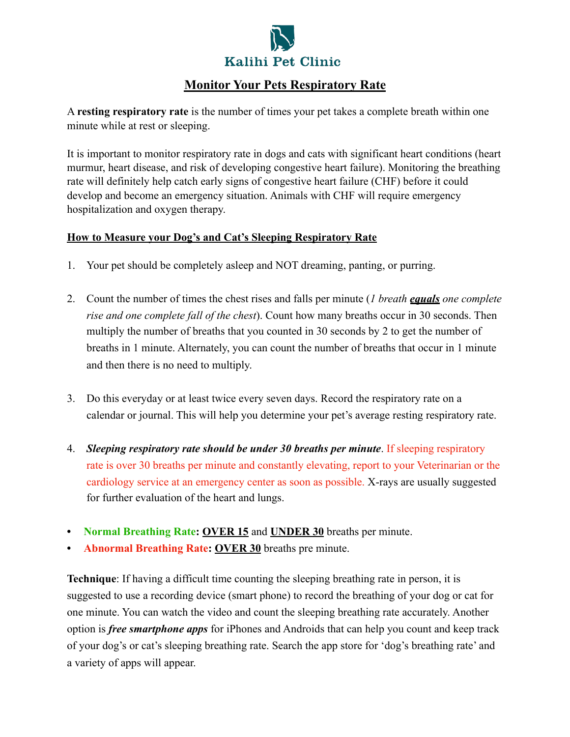

## **Monitor Your Pets Respiratory Rate**

A **resting respiratory rate** is the number of times your pet takes a complete breath within one minute while at rest or sleeping.

It is important to monitor respiratory rate in dogs and cats with significant heart conditions (heart murmur, heart disease, and risk of developing congestive heart failure). Monitoring the breathing rate will definitely help catch early signs of congestive heart failure (CHF) before it could develop and become an emergency situation. Animals with CHF will require emergency hospitalization and oxygen therapy.

## **How to Measure your Dog's and Cat's Sleeping Respiratory Rate**

- 1. Your pet should be completely asleep and NOT dreaming, panting, or purring.
- 2. Count the number of times the chest rises and falls per minute (*1 breath equals one complete rise and one complete fall of the chest*). Count how many breaths occur in 30 seconds. Then multiply the number of breaths that you counted in 30 seconds by 2 to get the number of breaths in 1 minute. Alternately, you can count the number of breaths that occur in 1 minute and then there is no need to multiply.
- 3. Do this everyday or at least twice every seven days. Record the respiratory rate on a calendar or journal. This will help you determine your pet's average resting respiratory rate.
- 4. *Sleeping respiratory rate should be under 30 breaths per minute*. If sleeping respiratory rate is over 30 breaths per minute and constantly elevating, report to your Veterinarian or the cardiology service at an emergency center as soon as possible. X-rays are usually suggested for further evaluation of the heart and lungs.
- **• Normal Breathing Rate: OVER 15** and **UNDER 30** breaths per minute.
- **• Abnormal Breathing Rate: OVER 30** breaths pre minute.

**Technique**: If having a difficult time counting the sleeping breathing rate in person, it is suggested to use a recording device (smart phone) to record the breathing of your dog or cat for one minute. You can watch the video and count the sleeping breathing rate accurately. Another option is *free smartphone apps* for iPhones and Androids that can help you count and keep track of your dog's or cat's sleeping breathing rate. Search the app store for 'dog's breathing rate' and a variety of apps will appear.